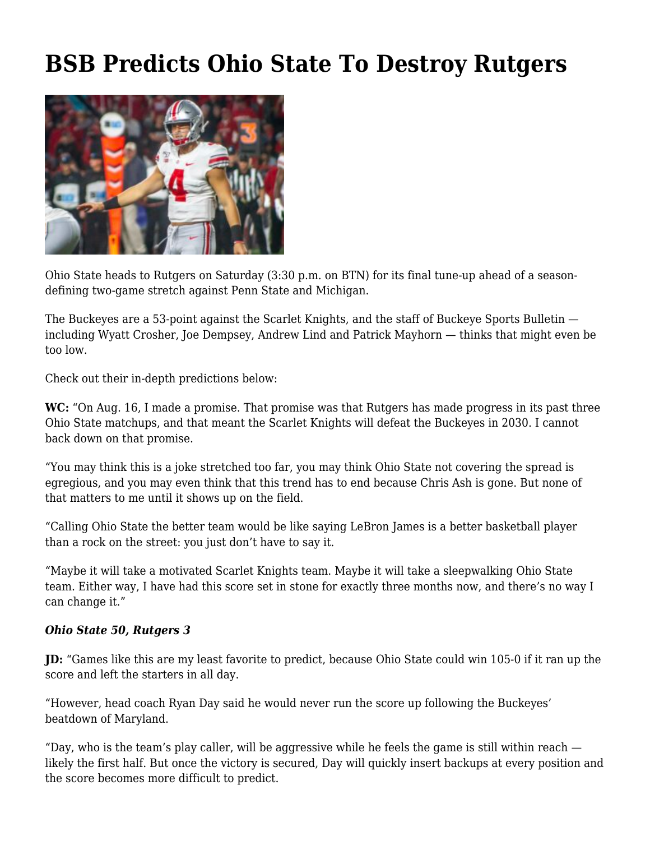# **[BSB Predicts Ohio State To Destroy Rutgers](https://www.buckeyesports.com/bsb-predicts-ohio-state-to-destroy-rutgers/)**



Ohio State heads to Rutgers on Saturday (3:30 p.m. on BTN) for its final tune-up ahead of a seasondefining two-game stretch against Penn State and Michigan.

The Buckeyes are a 53-point against the Scarlet Knights, and the staff of Buckeye Sports Bulletin including Wyatt Crosher, Joe Dempsey, Andrew Lind and Patrick Mayhorn — thinks that might even be too low.

Check out their in-depth predictions below:

**WC:** "On Aug. 16, [I made a promise.](https://twitter.com/wcrosher/status/1162430208781246466?s=20) That promise was that Rutgers has made progress in its past three Ohio State matchups, and that meant the Scarlet Knights will defeat the Buckeyes in 2030. I cannot back down on that promise.

"You may think this is a joke stretched too far, you may think Ohio State not covering the spread is egregious, and you may even think that this trend has to end because Chris Ash is gone. But none of that matters to me until it shows up on the field.

"Calling Ohio State the better team would be like saying LeBron James is a better basketball player than a rock on the street: you just don't have to say it.

"Maybe it will take a motivated Scarlet Knights team. Maybe it will take a sleepwalking Ohio State team. Either way, I have had this score set in stone for exactly three months now, and there's no way I can change it."

#### *Ohio State 50, Rutgers 3*

**JD:** "Games like this are my least favorite to predict, because Ohio State could win 105-0 if it ran up the score and left the starters in all day.

"However, head coach Ryan Day said he would never run the score up following the Buckeyes' beatdown of Maryland.

"Day, who is the team's play caller, will be aggressive while he feels the game is still within reach likely the first half. But once the victory is secured, Day will quickly insert backups at every position and the score becomes more difficult to predict.